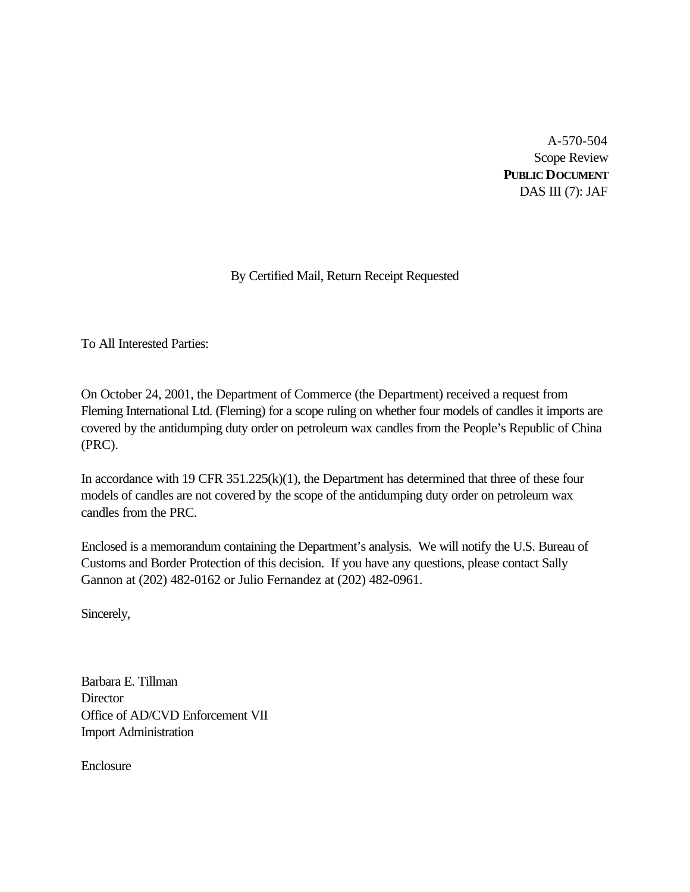A-570-504 Scope Review **PUBLIC DOCUMENT** DAS III $(7)$ : JAF

# By Certified Mail, Return Receipt Requested

To All Interested Parties:

On October 24, 2001, the Department of Commerce (the Department) received a request from Fleming International Ltd. (Fleming) for a scope ruling on whether four models of candles it imports are covered by the antidumping duty order on petroleum wax candles from the People's Republic of China (PRC).

In accordance with 19 CFR 351.225(k)(1), the Department has determined that three of these four models of candles are not covered by the scope of the antidumping duty order on petroleum wax candles from the PRC.

Enclosed is a memorandum containing the Department's analysis. We will notify the U.S. Bureau of Customs and Border Protection of this decision. If you have any questions, please contact Sally Gannon at (202) 482-0162 or Julio Fernandez at (202) 482-0961.

Sincerely,

Barbara E. Tillman **Director** Office of AD/CVD Enforcement VII Import Administration

Enclosure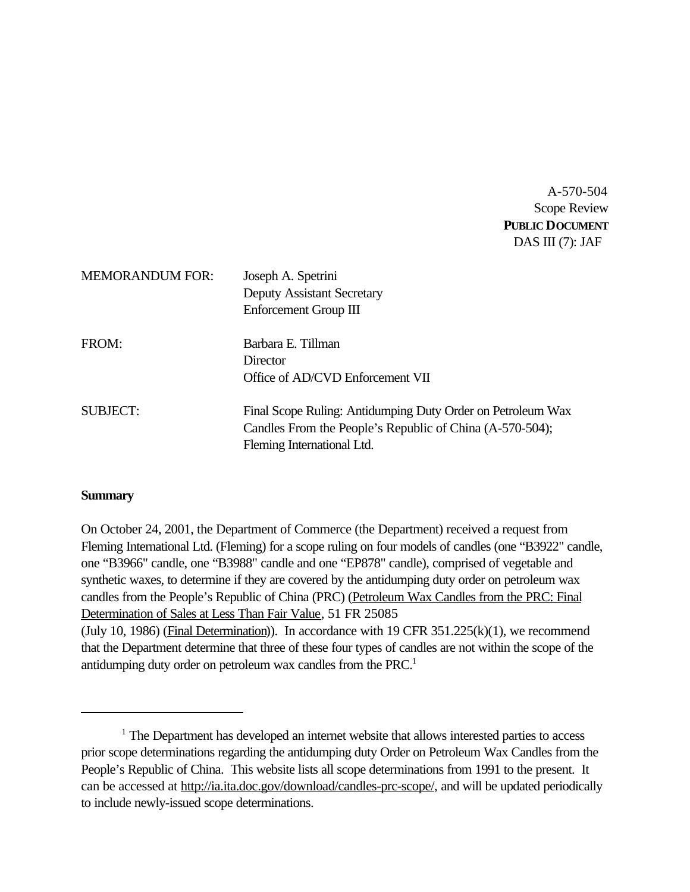A-570-504 Scope Review **PUBLIC DOCUMENT** DAS III (7): JAF

| <b>MEMORANDUM FOR:</b> | Joseph A. Spetrini<br><b>Deputy Assistant Secretary</b><br>Enforcement Group III                                                                      |
|------------------------|-------------------------------------------------------------------------------------------------------------------------------------------------------|
| FROM:                  | Barbara E. Tillman<br>Director<br>Office of AD/CVD Enforcement VII                                                                                    |
| SUBJECT:               | Final Scope Ruling: Antidumping Duty Order on Petroleum Wax<br>Candles From the People's Republic of China (A-570-504);<br>Fleming International Ltd. |

# **Summary**

On October 24, 2001, the Department of Commerce (the Department) received a request from Fleming International Ltd. (Fleming) for a scope ruling on four models of candles (one "B3922" candle, one "B3966" candle, one "B3988" candle and one "EP878" candle), comprised of vegetable and synthetic waxes, to determine if they are covered by the antidumping duty order on petroleum wax candles from the People's Republic of China (PRC) (Petroleum Wax Candles from the PRC: Final Determination of Sales at Less Than Fair Value, 51 FR 25085 (July 10, 1986) (Final Determination)). In accordance with 19 CFR  $351.225(k)(1)$ , we recommend that the Department determine that three of these four types of candles are not within the scope of the antidumping duty order on petroleum wax candles from the PRC.<sup>1</sup>

<sup>&</sup>lt;sup>1</sup> The Department has developed an internet website that allows interested parties to access prior scope determinations regarding the antidumping duty Order on Petroleum Wax Candles from the People's Republic of China. This website lists all scope determinations from 1991 to the present. It can be accessed at http://ia.ita.doc.gov/download/candles-prc-scope/, and will be updated periodically to include newly-issued scope determinations.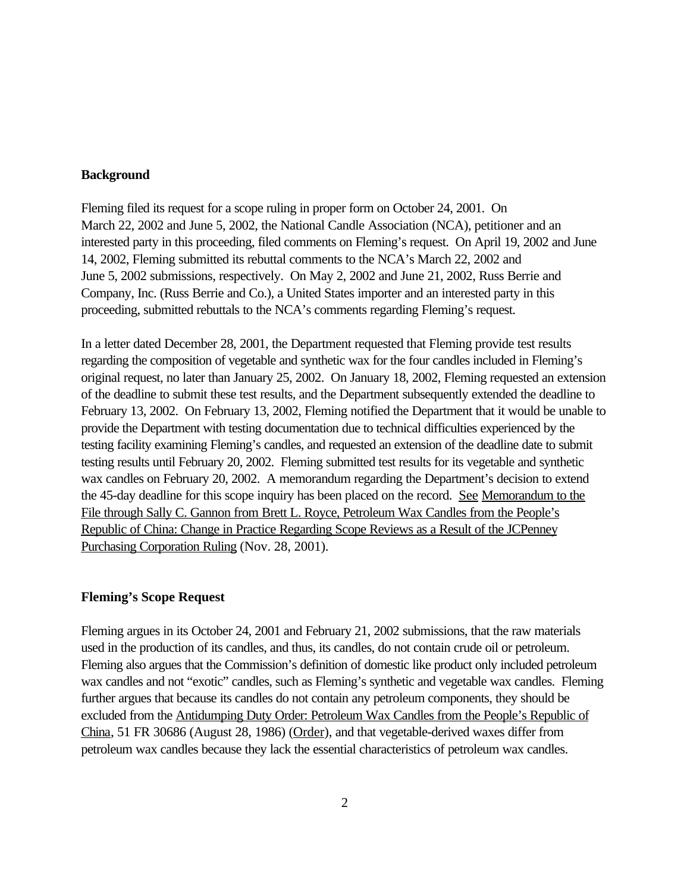## **Background**

Fleming filed its request for a scope ruling in proper form on October 24, 2001. On March 22, 2002 and June 5, 2002, the National Candle Association (NCA), petitioner and an interested party in this proceeding, filed comments on Fleming's request. On April 19, 2002 and June 14, 2002, Fleming submitted its rebuttal comments to the NCA's March 22, 2002 and June 5, 2002 submissions, respectively. On May 2, 2002 and June 21, 2002, Russ Berrie and Company, Inc. (Russ Berrie and Co.), a United States importer and an interested party in this proceeding, submitted rebuttals to the NCA's comments regarding Fleming's request.

In a letter dated December 28, 2001, the Department requested that Fleming provide test results regarding the composition of vegetable and synthetic wax for the four candles included in Fleming's original request, no later than January 25, 2002. On January 18, 2002, Fleming requested an extension of the deadline to submit these test results, and the Department subsequently extended the deadline to February 13, 2002. On February 13, 2002, Fleming notified the Department that it would be unable to provide the Department with testing documentation due to technical difficulties experienced by the testing facility examining Fleming's candles, and requested an extension of the deadline date to submit testing results until February 20, 2002. Fleming submitted test results for its vegetable and synthetic wax candles on February 20, 2002. A memorandum regarding the Department's decision to extend the 45-day deadline for this scope inquiry has been placed on the record. See Memorandum to the File through Sally C. Gannon from Brett L. Royce, Petroleum Wax Candles from the People's Republic of China: Change in Practice Regarding Scope Reviews as a Result of the JCPenney Purchasing Corporation Ruling (Nov. 28, 2001).

# **Fleming's Scope Request**

Fleming argues in its October 24, 2001 and February 21, 2002 submissions, that the raw materials used in the production of its candles, and thus, its candles, do not contain crude oil or petroleum. Fleming also argues that the Commission's definition of domestic like product only included petroleum wax candles and not "exotic" candles, such as Fleming's synthetic and vegetable wax candles. Fleming further argues that because its candles do not contain any petroleum components, they should be excluded from the Antidumping Duty Order: Petroleum Wax Candles from the People's Republic of China, 51 FR 30686 (August 28, 1986) (Order), and that vegetable-derived waxes differ from petroleum wax candles because they lack the essential characteristics of petroleum wax candles.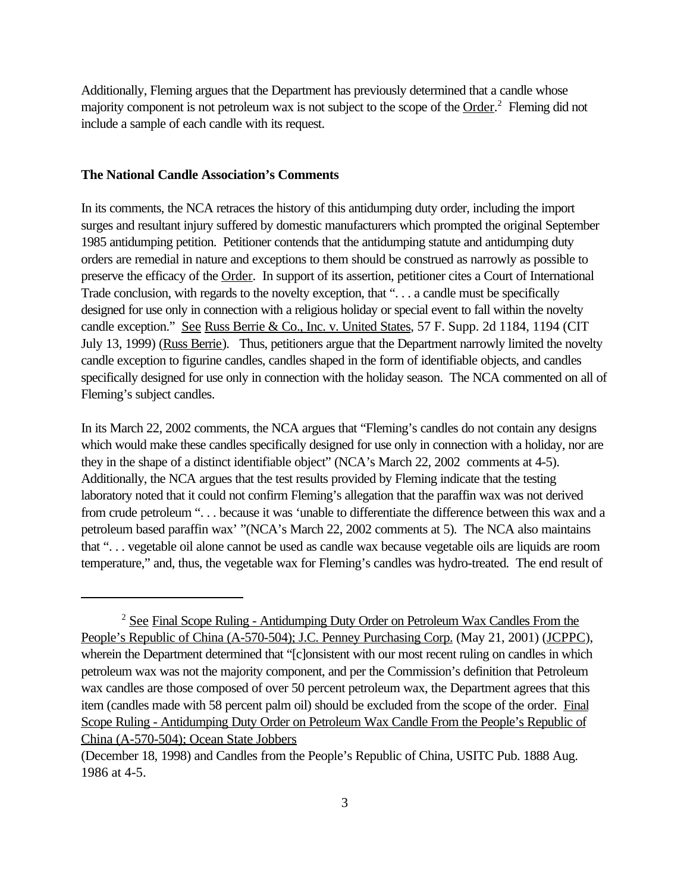Additionally, Fleming argues that the Department has previously determined that a candle whose majority component is not petroleum wax is not subject to the scope of the Order.<sup>2</sup> Fleming did not include a sample of each candle with its request.

### **The National Candle Association's Comments**

In its comments, the NCA retraces the history of this antidumping duty order, including the import surges and resultant injury suffered by domestic manufacturers which prompted the original September 1985 antidumping petition. Petitioner contends that the antidumping statute and antidumping duty orders are remedial in nature and exceptions to them should be construed as narrowly as possible to preserve the efficacy of the Order. In support of its assertion, petitioner cites a Court of International Trade conclusion, with regards to the novelty exception, that "... a candle must be specifically designed for use only in connection with a religious holiday or special event to fall within the novelty candle exception." See Russ Berrie & Co., Inc. v. United States, 57 F. Supp. 2d 1184, 1194 (CIT July 13, 1999) (Russ Berrie). Thus, petitioners argue that the Department narrowly limited the novelty candle exception to figurine candles, candles shaped in the form of identifiable objects, and candles specifically designed for use only in connection with the holiday season. The NCA commented on all of Fleming's subject candles.

In its March 22, 2002 comments, the NCA argues that "Fleming's candles do not contain any designs which would make these candles specifically designed for use only in connection with a holiday, nor are they in the shape of a distinct identifiable object" (NCA's March 22, 2002 comments at 4-5). Additionally, the NCA argues that the test results provided by Fleming indicate that the testing laboratory noted that it could not confirm Fleming's allegation that the paraffin wax was not derived from crude petroleum "... because it was 'unable to differentiate the difference between this wax and a petroleum based paraffin wax' "(NCA's March 22, 2002 comments at 5). The NCA also maintains that ". . . vegetable oil alone cannot be used as candle wax because vegetable oils are liquids are room temperature," and, thus, the vegetable wax for Fleming's candles was hydro-treated. The end result of

<sup>2</sup> See Final Scope Ruling - Antidumping Duty Order on Petroleum Wax Candles From the People's Republic of China (A-570-504); J.C. Penney Purchasing Corp. (May 21, 2001) (JCPPC), wherein the Department determined that "[c]onsistent with our most recent ruling on candles in which petroleum wax was not the majority component, and per the Commission's definition that Petroleum wax candles are those composed of over 50 percent petroleum wax, the Department agrees that this item (candles made with 58 percent palm oil) should be excluded from the scope of the order. Final Scope Ruling - Antidumping Duty Order on Petroleum Wax Candle From the People's Republic of China (A-570-504); Ocean State Jobbers

<sup>(</sup>December 18, 1998) and Candles from the People's Republic of China, USITC Pub. 1888 Aug. 1986 at 4-5.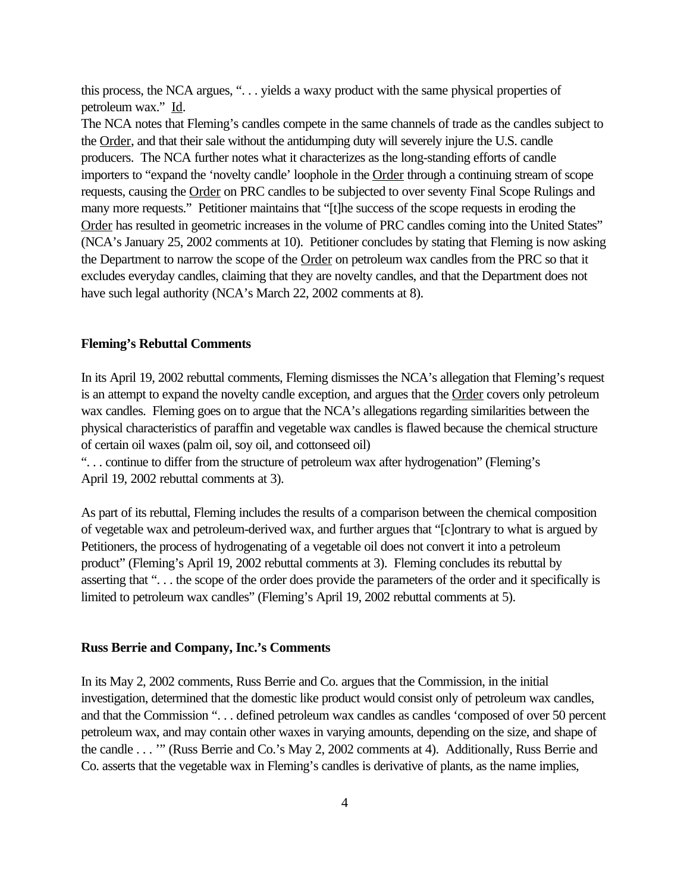this process, the NCA argues, ". . . yields a waxy product with the same physical properties of petroleum wax." Id.

The NCA notes that Fleming's candles compete in the same channels of trade as the candles subject to the Order, and that their sale without the antidumping duty will severely injure the U.S. candle producers. The NCA further notes what it characterizes as the long-standing efforts of candle importers to "expand the 'novelty candle' loophole in the Order through a continuing stream of scope requests, causing the Order on PRC candles to be subjected to over seventy Final Scope Rulings and many more requests." Petitioner maintains that "[t]he success of the scope requests in eroding the Order has resulted in geometric increases in the volume of PRC candles coming into the United States" (NCA's January 25, 2002 comments at 10). Petitioner concludes by stating that Fleming is now asking the Department to narrow the scope of the **Order** on petroleum wax candles from the PRC so that it excludes everyday candles, claiming that they are novelty candles, and that the Department does not have such legal authority (NCA's March 22, 2002 comments at 8).

### **Fleming's Rebuttal Comments**

In its April 19, 2002 rebuttal comments, Fleming dismisses the NCA's allegation that Fleming's request is an attempt to expand the novelty candle exception, and argues that the Order covers only petroleum wax candles. Fleming goes on to argue that the NCA's allegations regarding similarities between the physical characteristics of paraffin and vegetable wax candles is flawed because the chemical structure of certain oil waxes (palm oil, soy oil, and cottonseed oil)

". . . continue to differ from the structure of petroleum wax after hydrogenation" (Fleming's April 19, 2002 rebuttal comments at 3).

As part of its rebuttal, Fleming includes the results of a comparison between the chemical composition of vegetable wax and petroleum-derived wax, and further argues that "[c]ontrary to what is argued by Petitioners, the process of hydrogenating of a vegetable oil does not convert it into a petroleum product" (Fleming's April 19, 2002 rebuttal comments at 3). Fleming concludes its rebuttal by asserting that ". . . the scope of the order does provide the parameters of the order and it specifically is limited to petroleum wax candles" (Fleming's April 19, 2002 rebuttal comments at 5).

#### **Russ Berrie and Company, Inc.'s Comments**

In its May 2, 2002 comments, Russ Berrie and Co. argues that the Commission, in the initial investigation, determined that the domestic like product would consist only of petroleum wax candles, and that the Commission ". . . defined petroleum wax candles as candles 'composed of over 50 percent petroleum wax, and may contain other waxes in varying amounts, depending on the size, and shape of the candle . . . '" (Russ Berrie and Co.'s May 2, 2002 comments at 4). Additionally, Russ Berrie and Co. asserts that the vegetable wax in Fleming's candles is derivative of plants, as the name implies,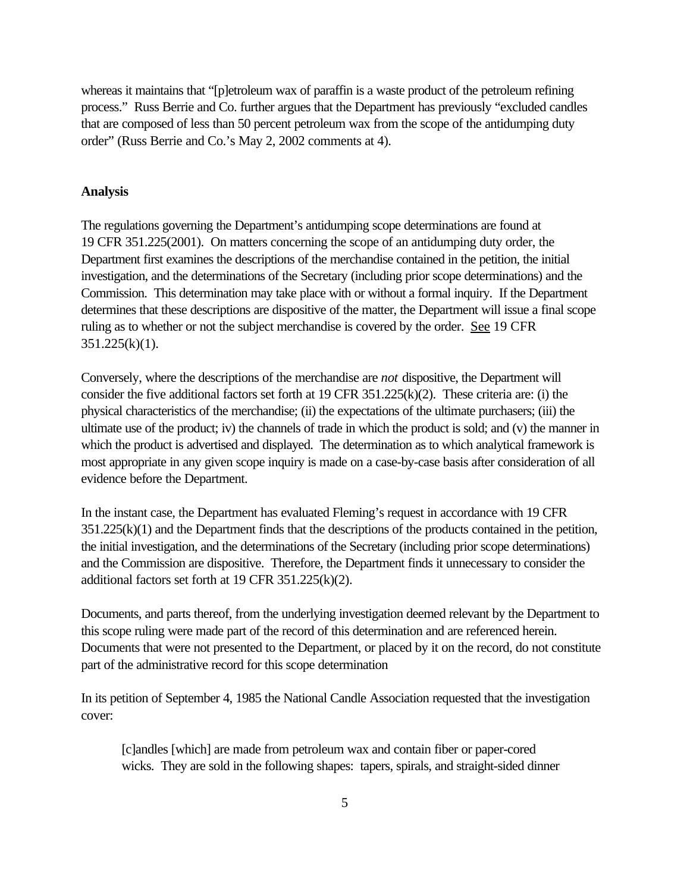whereas it maintains that "[p]etroleum wax of paraffin is a waste product of the petroleum refining process." Russ Berrie and Co. further argues that the Department has previously "excluded candles that are composed of less than 50 percent petroleum wax from the scope of the antidumping duty order" (Russ Berrie and Co.'s May 2, 2002 comments at 4).

## **Analysis**

The regulations governing the Department's antidumping scope determinations are found at 19 CFR 351.225(2001). On matters concerning the scope of an antidumping duty order, the Department first examines the descriptions of the merchandise contained in the petition, the initial investigation, and the determinations of the Secretary (including prior scope determinations) and the Commission. This determination may take place with or without a formal inquiry. If the Department determines that these descriptions are dispositive of the matter, the Department will issue a final scope ruling as to whether or not the subject merchandise is covered by the order. See 19 CFR  $351.225(k)(1)$ .

Conversely, where the descriptions of the merchandise are *not* dispositive, the Department will consider the five additional factors set forth at 19 CFR 351.225(k)(2). These criteria are: (i) the physical characteristics of the merchandise; (ii) the expectations of the ultimate purchasers; (iii) the ultimate use of the product; iv) the channels of trade in which the product is sold; and (v) the manner in which the product is advertised and displayed. The determination as to which analytical framework is most appropriate in any given scope inquiry is made on a case-by-case basis after consideration of all evidence before the Department.

In the instant case, the Department has evaluated Fleming's request in accordance with 19 CFR 351.225(k)(1) and the Department finds that the descriptions of the products contained in the petition, the initial investigation, and the determinations of the Secretary (including prior scope determinations) and the Commission are dispositive. Therefore, the Department finds it unnecessary to consider the additional factors set forth at 19 CFR 351.225(k)(2).

Documents, and parts thereof, from the underlying investigation deemed relevant by the Department to this scope ruling were made part of the record of this determination and are referenced herein. Documents that were not presented to the Department, or placed by it on the record, do not constitute part of the administrative record for this scope determination

In its petition of September 4, 1985 the National Candle Association requested that the investigation cover:

[c]andles [which] are made from petroleum wax and contain fiber or paper-cored wicks. They are sold in the following shapes: tapers, spirals, and straight-sided dinner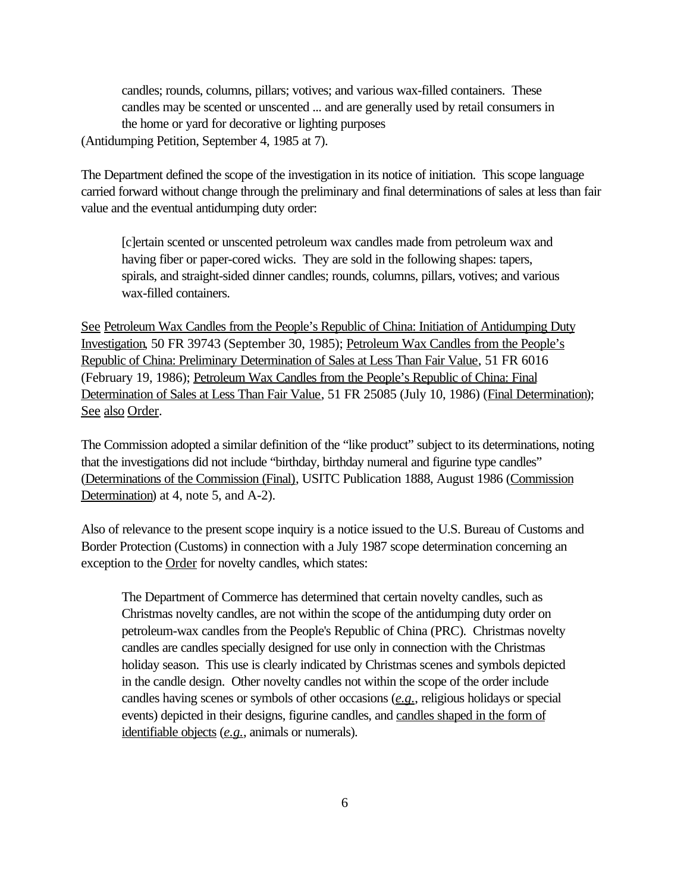candles; rounds, columns, pillars; votives; and various wax-filled containers. These candles may be scented or unscented ... and are generally used by retail consumers in the home or yard for decorative or lighting purposes

(Antidumping Petition, September 4, 1985 at 7).

The Department defined the scope of the investigation in its notice of initiation. This scope language carried forward without change through the preliminary and final determinations of sales at less than fair value and the eventual antidumping duty order:

[c]ertain scented or unscented petroleum wax candles made from petroleum wax and having fiber or paper-cored wicks. They are sold in the following shapes: tapers, spirals, and straight-sided dinner candles; rounds, columns, pillars, votives; and various wax-filled containers.

See Petroleum Wax Candles from the People's Republic of China: Initiation of Antidumping Duty Investigation, 50 FR 39743 (September 30, 1985); Petroleum Wax Candles from the People's Republic of China: Preliminary Determination of Sales at Less Than Fair Value, 51 FR 6016 (February 19, 1986); Petroleum Wax Candles from the People's Republic of China: Final Determination of Sales at Less Than Fair Value, 51 FR 25085 (July 10, 1986) (Final Determination); See also Order.

The Commission adopted a similar definition of the "like product" subject to its determinations, noting that the investigations did not include "birthday, birthday numeral and figurine type candles" (Determinations of the Commission (Final), USITC Publication 1888, August 1986 (Commission Determination) at 4, note 5, and A-2).

Also of relevance to the present scope inquiry is a notice issued to the U.S. Bureau of Customs and Border Protection (Customs) in connection with a July 1987 scope determination concerning an exception to the Order for novelty candles, which states:

The Department of Commerce has determined that certain novelty candles, such as Christmas novelty candles, are not within the scope of the antidumping duty order on petroleum-wax candles from the People's Republic of China (PRC). Christmas novelty candles are candles specially designed for use only in connection with the Christmas holiday season. This use is clearly indicated by Christmas scenes and symbols depicted in the candle design. Other novelty candles not within the scope of the order include candles having scenes or symbols of other occasions (*e.g.*, religious holidays or special events) depicted in their designs, figurine candles, and candles shaped in the form of identifiable objects (*e.g.*, animals or numerals).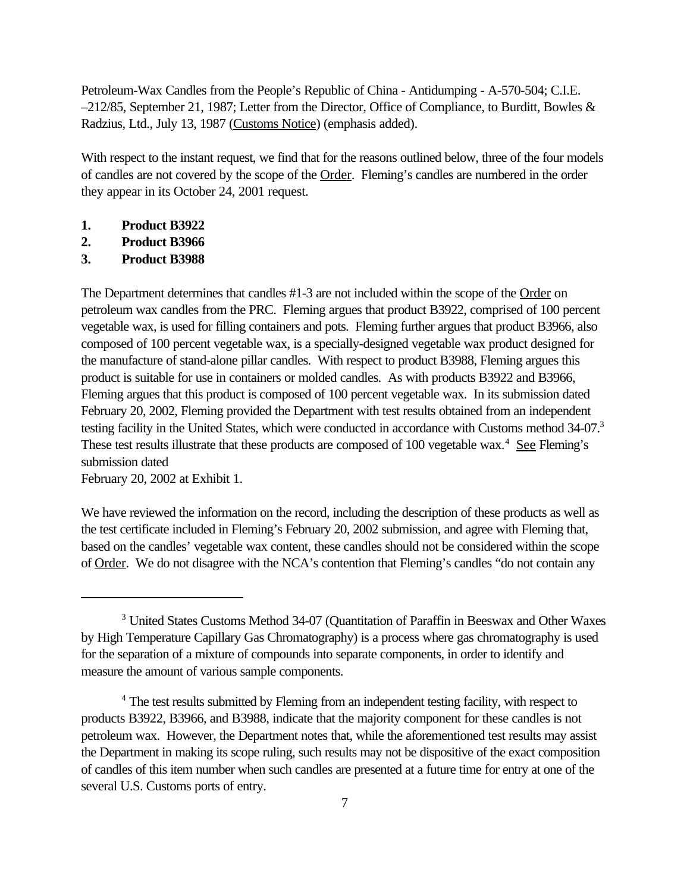Petroleum-Wax Candles from the People's Republic of China - Antidumping - A-570-504; C.I.E. –212/85, September 21, 1987; Letter from the Director, Office of Compliance, to Burditt, Bowles & Radzius, Ltd., July 13, 1987 (Customs Notice) (emphasis added).

With respect to the instant request, we find that for the reasons outlined below, three of the four models of candles are not covered by the scope of the Order. Fleming's candles are numbered in the order they appear in its October 24, 2001 request.

- **1. Product B3922**
- **2. Product B3966**
- **3. Product B3988**

The Department determines that candles #1-3 are not included within the scope of the Order on petroleum wax candles from the PRC. Fleming argues that product B3922, comprised of 100 percent vegetable wax, is used for filling containers and pots. Fleming further argues that product B3966, also composed of 100 percent vegetable wax, is a specially-designed vegetable wax product designed for the manufacture of stand-alone pillar candles. With respect to product B3988, Fleming argues this product is suitable for use in containers or molded candles. As with products B3922 and B3966, Fleming argues that this product is composed of 100 percent vegetable wax. In its submission dated February 20, 2002, Fleming provided the Department with test results obtained from an independent testing facility in the United States, which were conducted in accordance with Customs method 34-07.<sup>3</sup> These test results illustrate that these products are composed of 100 vegetable wax.<sup>4</sup> See Fleming's submission dated

February 20, 2002 at Exhibit 1.

We have reviewed the information on the record, including the description of these products as well as the test certificate included in Fleming's February 20, 2002 submission, and agree with Fleming that, based on the candles' vegetable wax content, these candles should not be considered within the scope of Order. We do not disagree with the NCA's contention that Fleming's candles "do not contain any

<sup>&</sup>lt;sup>3</sup> United States Customs Method 34-07 (Quantitation of Paraffin in Beeswax and Other Waxes by High Temperature Capillary Gas Chromatography) is a process where gas chromatography is used for the separation of a mixture of compounds into separate components, in order to identify and measure the amount of various sample components.

<sup>&</sup>lt;sup>4</sup> The test results submitted by Fleming from an independent testing facility, with respect to products B3922, B3966, and B3988, indicate that the majority component for these candles is not petroleum wax. However, the Department notes that, while the aforementioned test results may assist the Department in making its scope ruling, such results may not be dispositive of the exact composition of candles of this item number when such candles are presented at a future time for entry at one of the several U.S. Customs ports of entry.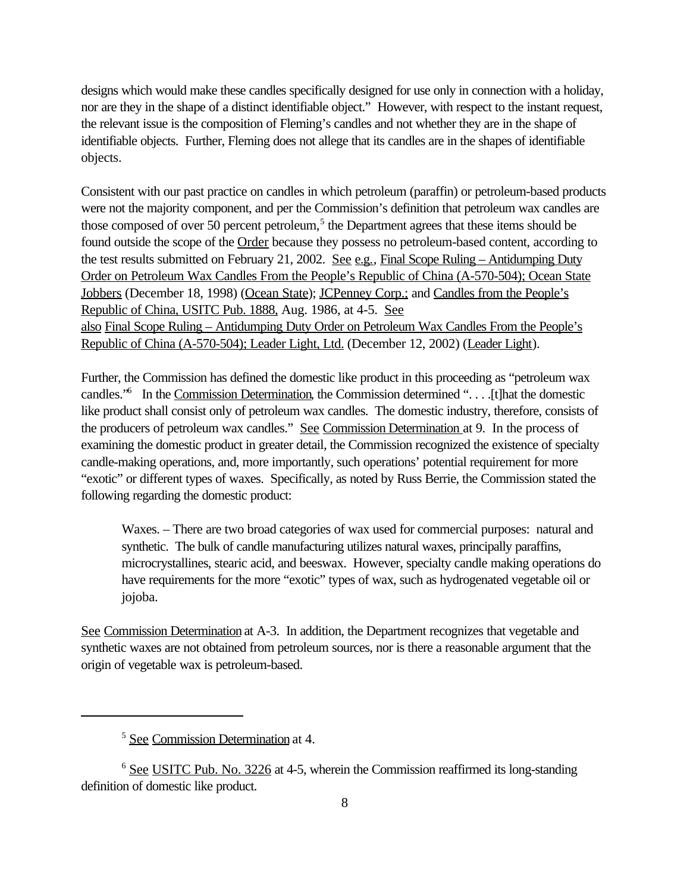designs which would make these candles specifically designed for use only in connection with a holiday, nor are they in the shape of a distinct identifiable object." However, with respect to the instant request, the relevant issue is the composition of Fleming's candles and not whether they are in the shape of identifiable objects. Further, Fleming does not allege that its candles are in the shapes of identifiable objects.

Consistent with our past practice on candles in which petroleum (paraffin) or petroleum-based products were not the majority component, and per the Commission's definition that petroleum wax candles are those composed of over 50 percent petroleum,<sup>5</sup> the Department agrees that these items should be found outside the scope of the Order because they possess no petroleum-based content, according to the test results submitted on February 21, 2002. See e.g., Final Scope Ruling – Antidumping Duty Order on Petroleum Wax Candles From the People's Republic of China (A-570-504); Ocean State Jobbers (December 18, 1998) (Ocean State); JCPenney Corp.; and Candles from the People's Republic of China, USITC Pub. 1888, Aug. 1986, at 4-5. See also Final Scope Ruling – Antidumping Duty Order on Petroleum Wax Candles From the People's Republic of China (A-570-504); Leader Light, Ltd. (December 12, 2002) (Leader Light).

Further, the Commission has defined the domestic like product in this proceeding as "petroleum wax candles.<sup>"6</sup> In the Commission Determination, the Commission determined ". . . . [t]hat the domestic like product shall consist only of petroleum wax candles. The domestic industry, therefore, consists of the producers of petroleum wax candles." See Commission Determination at 9. In the process of examining the domestic product in greater detail, the Commission recognized the existence of specialty candle-making operations, and, more importantly, such operations' potential requirement for more "exotic" or different types of waxes. Specifically, as noted by Russ Berrie, the Commission stated the following regarding the domestic product:

Waxes. – There are two broad categories of wax used for commercial purposes: natural and synthetic. The bulk of candle manufacturing utilizes natural waxes, principally paraffins, microcrystallines, stearic acid, and beeswax. However, specialty candle making operations do have requirements for the more "exotic" types of wax, such as hydrogenated vegetable oil or jojoba.

See Commission Determination at A-3. In addition, the Department recognizes that vegetable and synthetic waxes are not obtained from petroleum sources, nor is there a reasonable argument that the origin of vegetable wax is petroleum-based.

<sup>5</sup> See Commission Determination at 4.

<sup>6</sup> See USITC Pub. No. 3226 at 4-5, wherein the Commission reaffirmed its long-standing definition of domestic like product.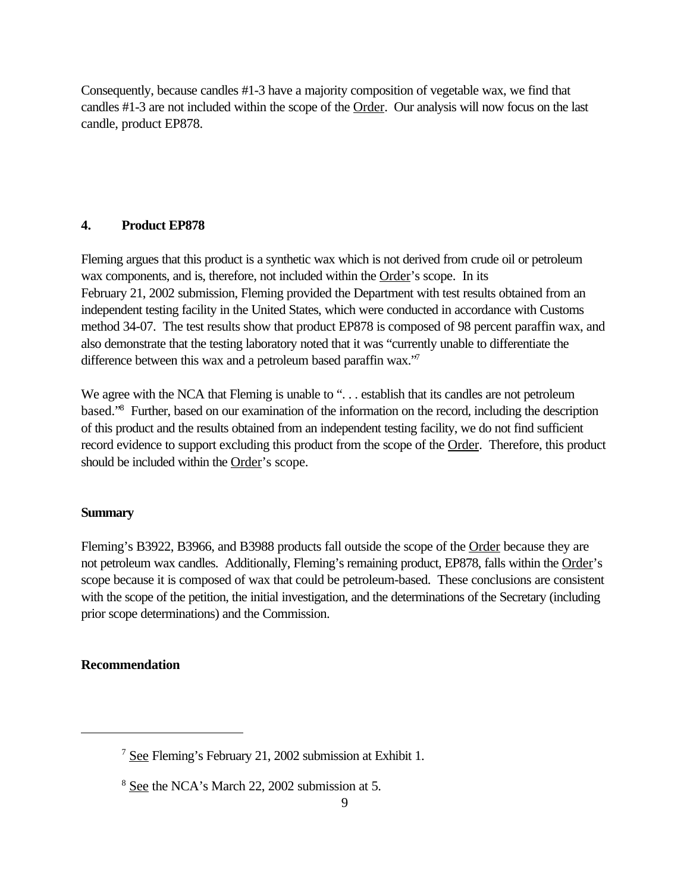Consequently, because candles #1-3 have a majority composition of vegetable wax, we find that candles #1-3 are not included within the scope of the Order. Our analysis will now focus on the last candle, product EP878.

# **4. Product EP878**

Fleming argues that this product is a synthetic wax which is not derived from crude oil or petroleum wax components, and is, therefore, not included within the Order's scope. In its February 21, 2002 submission, Fleming provided the Department with test results obtained from an independent testing facility in the United States, which were conducted in accordance with Customs method 34-07. The test results show that product EP878 is composed of 98 percent paraffin wax, and also demonstrate that the testing laboratory noted that it was "currently unable to differentiate the difference between this wax and a petroleum based paraffin wax."

We agree with the NCA that Fleming is unable to "... establish that its candles are not petroleum based."<sup>8</sup> Further, based on our examination of the information on the record, including the description of this product and the results obtained from an independent testing facility, we do not find sufficient record evidence to support excluding this product from the scope of the Order. Therefore, this product should be included within the Order's scope.

### **Summary**

Fleming's B3922, B3966, and B3988 products fall outside the scope of the Order because they are not petroleum wax candles. Additionally, Fleming's remaining product, EP878, falls within the Order's scope because it is composed of wax that could be petroleum-based. These conclusions are consistent with the scope of the petition, the initial investigation, and the determinations of the Secretary (including prior scope determinations) and the Commission.

## **Recommendation**

<sup>7</sup> See Fleming's February 21, 2002 submission at Exhibit 1.

<sup>8</sup> See the NCA's March 22, 2002 submission at 5.